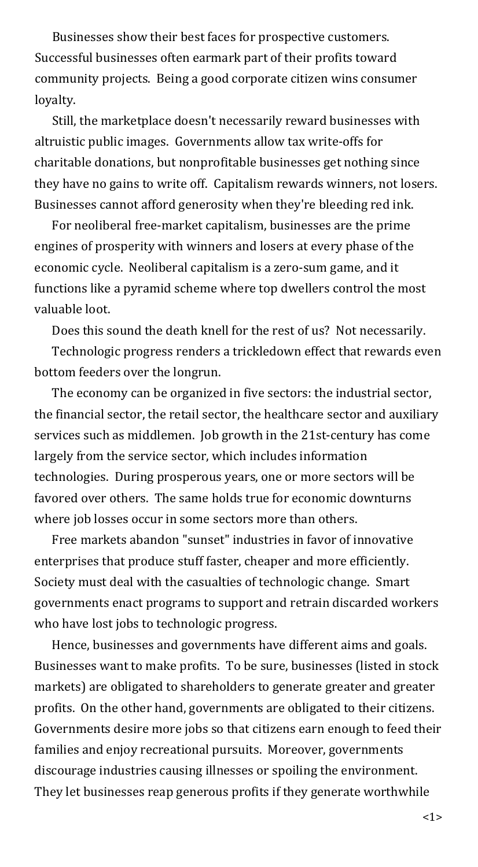Businesses show their best faces for prospective customers. Successful businesses often earmark part of their profits toward community projects. Being a good corporate citizen wins consumer loyalty.

Still, the marketplace doesn't necessarily reward businesses with altruistic public images. Governments allow tax write-offs for charitable donations, but nonprofitable businesses get nothing since they have no gains to write off. Capitalism rewards winners, not losers. Businesses cannot afford generosity when they're bleeding red ink.

For neoliberal free-market capitalism, businesses are the prime engines of prosperity with winners and losers at every phase of the economic cycle. Neoliberal capitalism is a zero-sum game, and it functions like a pyramid scheme where top dwellers control the most valuable loot.

Does this sound the death knell for the rest of us? Not necessarily.

Technologic progress renders a trickledown effect that rewards even bottom feeders over the longrun.

The economy can be organized in five sectors: the industrial sector, the financial sector, the retail sector, the healthcare sector and auxiliary services such as middlemen. Job growth in the 21st-century has come largely from the service sector, which includes information technologies. During prosperous years, one or more sectors will be favored over others. The same holds true for economic downturns where job losses occur in some sectors more than others.

Free markets abandon "sunset" industries in favor of innovative enterprises that produce stuff faster, cheaper and more efficiently. Society must deal with the casualties of technologic change. Smart governments enact programs to support and retrain discarded workers who have lost jobs to technologic progress.

Hence, businesses and governments have different aims and goals. Businesses want to make profits. To be sure, businesses (listed in stock markets) are obligated to shareholders to generate greater and greater profits. On the other hand, governments are obligated to their citizens. Governments desire more jobs so that citizens earn enough to feed their families and enjoy recreational pursuits. Moreover, governments discourage industries causing illnesses or spoiling the environment. They let businesses reap generous profits if they generate worthwhile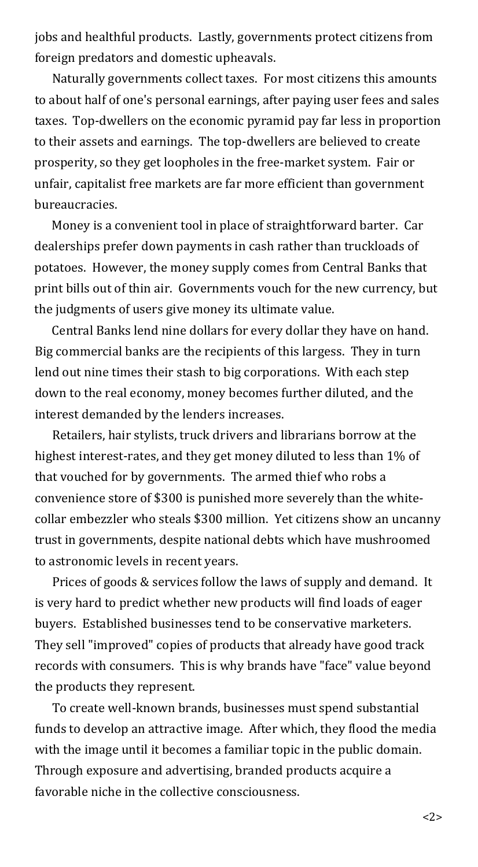jobs and healthful products. Lastly, governments protect citizens from foreign predators and domestic upheavals.

Naturally governments collect taxes. For most citizens this amounts to about half of one's personal earnings, after paying user fees and sales taxes. Top-dwellers on the economic pyramid pay far less in proportion to their assets and earnings. The top-dwellers are believed to create prosperity, so they get loopholes in the free-market system. Fair or unfair, capitalist free markets are far more efficient than government bureaucracies.

Money is a convenient tool in place of straightforward barter. Car dealerships prefer down payments in cash rather than truckloads of potatoes. However, the money supply comes from Central Banks that print bills out of thin air. Governments vouch for the new currency, but the judgments of users give money its ultimate value.

Central Banks lend nine dollars for every dollar they have on hand. Big commercial banks are the recipients of this largess. They in turn lend out nine times their stash to big corporations. With each step down to the real economy, money becomes further diluted, and the interest demanded by the lenders increases.

Retailers, hair stylists, truck drivers and librarians borrow at the highest interest-rates, and they get money diluted to less than 1% of that vouched for by governments. The armed thief who robs a convenience store of \$300 is punished more severely than the whitecollar embezzler who steals \$300 million. Yet citizens show an uncanny trust in governments, despite national debts which have mushroomed to astronomic levels in recent years.

Prices of goods & services follow the laws of supply and demand. It is very hard to predict whether new products will find loads of eager buyers. Established businesses tend to be conservative marketers. They sell "improved" copies of products that already have good track records with consumers. This is why brands have "face" value beyond the products they represent.

To create well-known brands, businesses must spend substantial funds to develop an attractive image. After which, they flood the media with the image until it becomes a familiar topic in the public domain. Through exposure and advertising, branded products acquire a favorable niche in the collective consciousness.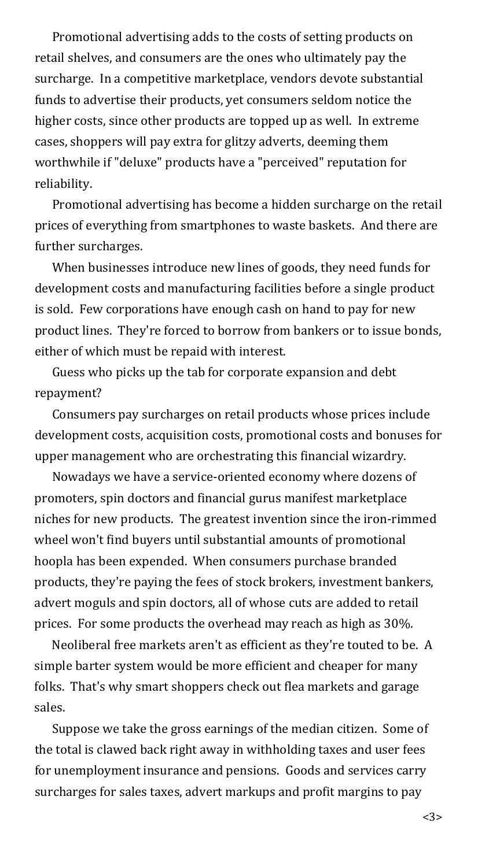Promotional advertising adds to the costs of setting products on retail shelves, and consumers are the ones who ultimately pay the surcharge. In a competitive marketplace, vendors devote substantial funds to advertise their products, yet consumers seldom notice the higher costs, since other products are topped up as well. In extreme cases, shoppers will pay extra for glitzy adverts, deeming them worthwhile if "deluxe" products have a "perceived" reputation for reliability.

Promotional advertising has become a hidden surcharge on the retail prices of everything from smartphones to waste baskets. And there are further surcharges.

When businesses introduce new lines of goods, they need funds for development costs and manufacturing facilities before a single product is sold. Few corporations have enough cash on hand to pay for new product lines. They're forced to borrow from bankers or to issue bonds, either of which must be repaid with interest.

Guess who picks up the tab for corporate expansion and debt repayment?

Consumers pay surcharges on retail products whose prices include development costs, acquisition costs, promotional costs and bonuses for upper management who are orchestrating this financial wizardry.

Nowadays we have a service-oriented economy where dozens of promoters, spin doctors and financial gurus manifest marketplace niches for new products. The greatest invention since the iron-rimmed wheel won't find buyers until substantial amounts of promotional hoopla has been expended. When consumers purchase branded products, they're paying the fees of stock brokers, investment bankers, advert moguls and spin doctors, all of whose cuts are added to retail prices. For some products the overhead may reach as high as 30%.

Neoliberal free markets aren't as efficient as they're touted to be. A simple barter system would be more efficient and cheaper for many folks. That's why smart shoppers check out flea markets and garage sales.

Suppose we take the gross earnings of the median citizen. Some of the total is clawed back right away in withholding taxes and user fees for unemployment insurance and pensions. Goods and services carry surcharges for sales taxes, advert markups and profit margins to pay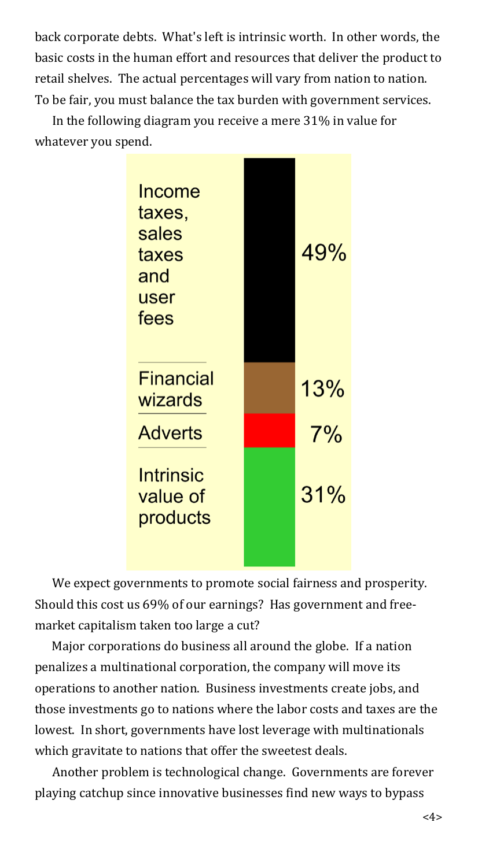back corporate debts. What's left is intrinsic worth. In other words, the basic costs in the human effort and resources that deliver the product to retail shelves. The actual percentages will vary from nation to nation. To be fair, you must balance the tax burden with government services.

In the following diagram you receive a mere 31% in value for whatever you spend.



We expect governments to promote social fairness and prosperity. Should this cost us 69% of our earnings? Has government and freemarket capitalism taken too large a cut?

Major corporations do business all around the globe. If a nation penalizes a multinational corporation, the company will move its operations to another nation. Business investments create jobs, and those investments go to nations where the labor costs and taxes are the lowest. In short, governments have lost leverage with multinationals which gravitate to nations that offer the sweetest deals.

Another problem is technological change. Governments are forever playing catchup since innovative businesses find new ways to bypass